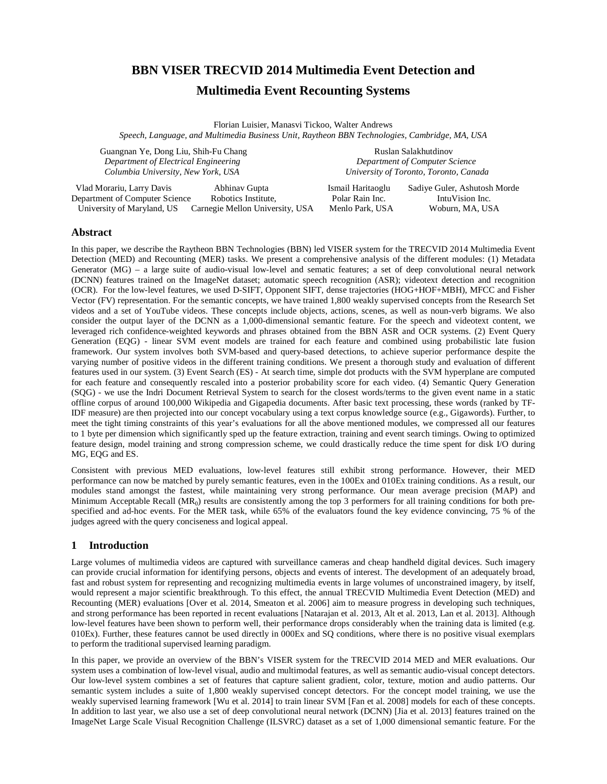# **BBN VISER TRECVID 2014 Multimedia Event Detection and**

## **Multimedia Event Recounting Systems**

Florian Luisier, Manasvi Tickoo, Walter Andrews *Speech, Language, and Multimedia Business Unit, Raytheon BBN Technologies, Cambridge, MA, USA*

Guangnan Ye, Dong Liu, Shih-Fu Chang **Ruslan Salakhutdinov** Ruslan Salakhutdinov  *Department of Electrical Engineering Department of Computer Science Columbia University, New York, USA University of Toronto, Toronto, Canada*

 Vlad Morariu, Larry Davis Abhinav Gupta Ismail Haritaoglu Sadiye Guler, Ashutosh Morde Department of Computer Science Robotics Institute, Polar Rain Inc. IntuVision Inc. University of Maryland, US Carnegie Mellon University, USA Menlo Park, USA Woburn, MA, USA

#### **Abstract**

In this paper, we describe the Raytheon BBN Technologies (BBN) led VISER system for the TRECVID 2014 Multimedia Event Detection (MED) and Recounting (MER) tasks. We present a comprehensive analysis of the different modules: (1) Metadata Generator (MG) – a large suite of audio-visual low-level and sematic features; a set of deep convolutional neural network (DCNN) features trained on the ImageNet dataset; automatic speech recognition (ASR); videotext detection and recognition (OCR). For the low-level features, we used D-SIFT, Opponent SIFT, dense trajectories (HOG+HOF+MBH), MFCC and Fisher Vector (FV) representation. For the semantic concepts, we have trained 1,800 weakly supervised concepts from the Research Set videos and a set of YouTube videos. These concepts include objects, actions, scenes, as well as noun-verb bigrams. We also consider the output layer of the DCNN as a 1,000-dimensional semantic feature. For the speech and videotext content, we leveraged rich confidence-weighted keywords and phrases obtained from the BBN ASR and OCR systems. (2) Event Query Generation (EQG) - linear SVM event models are trained for each feature and combined using probabilistic late fusion framework. Our system involves both SVM-based and query-based detections, to achieve superior performance despite the varying number of positive videos in the different training conditions. We present a thorough study and evaluation of different features used in our system. (3) Event Search (ES) - At search time, simple dot products with the SVM hyperplane are computed for each feature and consequently rescaled into a posterior probability score for each video. (4) Semantic Query Generation (SQG) - we use the Indri Document Retrieval System to search for the closest words/terms to the given event name in a static offline corpus of around 100,000 Wikipedia and Gigapedia documents. After basic text processing, these words (ranked by TF-IDF measure) are then projected into our concept vocabulary using a text corpus knowledge source (e.g., Gigawords). Further, to meet the tight timing constraints of this year's evaluations for all the above mentioned modules, we compressed all our features to 1 byte per dimension which significantly sped up the feature extraction, training and event search timings. Owing to optimized feature design, model training and strong compression scheme, we could drastically reduce the time spent for disk I/O during MG, EQG and ES.

Consistent with previous MED evaluations, low-level features still exhibit strong performance. However, their MED performance can now be matched by purely semantic features, even in the 100Ex and 010Ex training conditions. As a result, our modules stand amongst the fastest, while maintaining very strong performance. Our mean average precision (MAP) and Minimum Acceptable Recall  $(MR_0)$  results are consistently among the top 3 performers for all training conditions for both prespecified and ad-hoc events. For the MER task, while 65% of the evaluators found the key evidence convincing, 75 % of the judges agreed with the query conciseness and logical appeal.

## **1 Introduction**

Large volumes of multimedia videos are captured with surveillance cameras and cheap handheld digital devices. Such imagery can provide crucial information for identifying persons, objects and events of interest. The development of an adequately broad, fast and robust system for representing and recognizing multimedia events in large volumes of unconstrained imagery, by itself, would represent a major scientific breakthrough. To this effect, the annual TRECVID Multimedia Event Detection (MED) and Recounting (MER) evaluations [Over et al. 2014, Smeaton et al. 2006] aim to measure progress in developing such techniques, and strong performance has been reported in recent evaluations [Natarajan et al. 2013, Alt et al. 2013, Lan et al. 2013]. Although low-level features have been shown to perform well, their performance drops considerably when the training data is limited (e.g. 010Ex). Further, these features cannot be used directly in 000Ex and SQ conditions, where there is no positive visual exemplars to perform the traditional supervised learning paradigm.

In this paper, we provide an overview of the BBN's VISER system for the TRECVID 2014 MED and MER evaluations. Our system uses a combination of low-level visual, audio and multimodal features, as well as semantic audio-visual concept detectors. Our low-level system combines a set of features that capture salient gradient, color, texture, motion and audio patterns. Our semantic system includes a suite of 1,800 weakly supervised concept detectors. For the concept model training, we use the weakly supervised learning framework [Wu et al. 2014] to train linear SVM [Fan et al. 2008] models for each of these concepts. In addition to last year, we also use a set of deep convolutional neural network (DCNN) [Jia et al. 2013] features trained on the ImageNet Large Scale Visual Recognition Challenge [\(ILSVRC\)](http://image-net.org/challenges/LSVRC/2013/) dataset as a set of 1,000 dimensional semantic feature. For the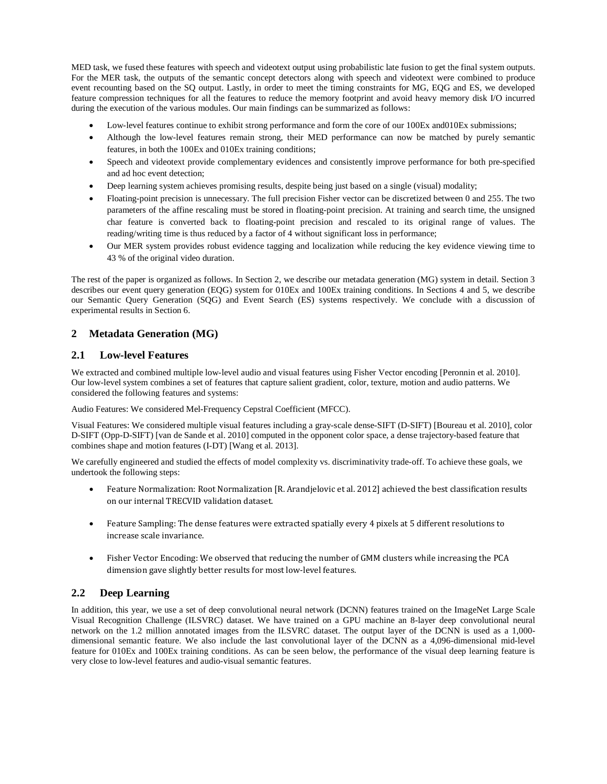MED task, we fused these features with speech and videotext output using probabilistic late fusion to get the final system outputs. For the MER task, the outputs of the semantic concept detectors along with speech and videotext were combined to produce event recounting based on the SQ output. Lastly, in order to meet the timing constraints for MG, EQG and ES, we developed feature compression techniques for all the features to reduce the memory footprint and avoid heavy memory disk I/O incurred during the execution of the various modules. Our main findings can be summarized as follows:

- Low-level features continue to exhibit strong performance and form the core of our 100Ex and010Ex submissions;
- Although the low-level features remain strong, their MED performance can now be matched by purely semantic features, in both the 100Ex and 010Ex training conditions;
- Speech and videotext provide complementary evidences and consistently improve performance for both pre-specified and ad hoc event detection;
- Deep learning system achieves promising results, despite being just based on a single (visual) modality;
- Floating-point precision is unnecessary. The full precision Fisher vector can be discretized between 0 and 255. The two parameters of the affine rescaling must be stored in floating-point precision. At training and search time, the unsigned char feature is converted back to floating-point precision and rescaled to its original range of values. The reading/writing time is thus reduced by a factor of 4 without significant loss in performance;
- Our MER system provides robust evidence tagging and localization while reducing the key evidence viewing time to 43 % of the original video duration.

The rest of the paper is organized as follows. In Section 2, we describe our metadata generation (MG) system in detail. Section 3 describes our event query generation (EQG) system for 010Ex and 100Ex training conditions. In Sections 4 and 5, we describe our Semantic Query Generation (SQG) and Event Search (ES) systems respectively. We conclude with a discussion of experimental results in Section 6.

## **2 Metadata Generation (MG)**

## **2.1 Low-level Features**

We extracted and combined multiple low-level audio and visual features using Fisher Vector encoding [Peronnin et al. 2010]. Our low-level system combines a set of features that capture salient gradient, color, texture, motion and audio patterns. We considered the following features and systems:

Audio Features: We considered Mel-Frequency Cepstral Coefficient (MFCC).

Visual Features: We considered multiple visual features including a gray-scale dense-SIFT (D-SIFT) [Boureau et al. 2010], color D-SIFT (Opp-D-SIFT) [van de Sande et al. 2010] computed in the opponent color space, a dense trajectory-based feature that combines shape and motion features (I-DT) [Wang et al. 2013].

We carefully engineered and studied the effects of model complexity vs. discriminativity trade-off. To achieve these goals, we undertook the following steps:

- Feature Normalization: Root Normalization [R. Arandjelovic et al. 2012] achieved the best classification results on our internal TRECVID validation dataset.
- Feature Sampling: The dense features were extracted spatially every 4 pixels at 5 different resolutions to increase scale invariance.
- Fisher Vector Encoding: We observed that reducing the number of GMM clusters while increasing the PCA dimension gave slightly better results for most low-level features.

## **2.2 Deep Learning**

In addition, this year, we use a set of deep convolutional neural network (DCNN) features trained on the ImageNet Large Scale Visual Recognition Challenge [\(ILSVRC\)](http://image-net.org/challenges/LSVRC/2013/) dataset. We have trained on a GPU machine an 8-layer deep convolutional neural network on the 1.2 million annotated images from the ILSVRC dataset. The output layer of the DCNN is used as a 1,000 dimensional semantic feature. We also include the last convolutional layer of the DCNN as a 4,096-dimensional mid-level feature for 010Ex and 100Ex training conditions. As can be seen below, the performance of the visual deep learning feature is very close to low-level features and audio-visual semantic features.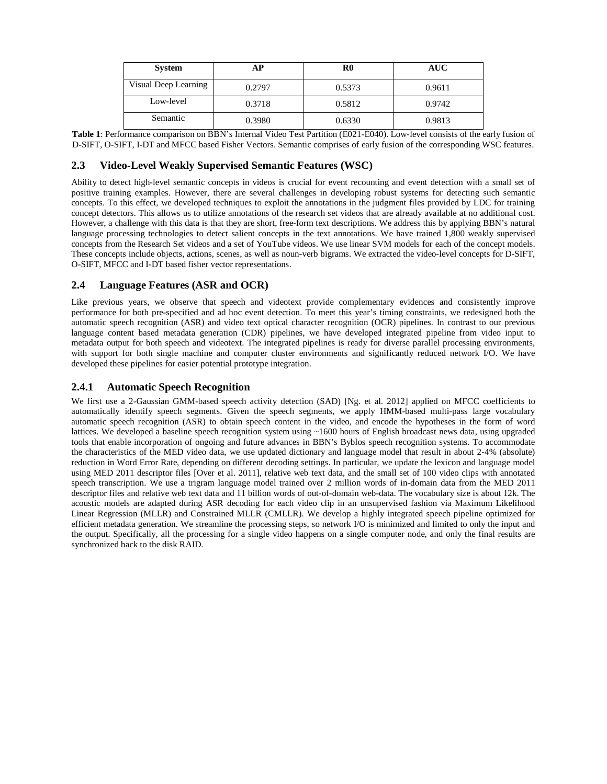| <b>System</b>        | АP     | ${\bf R0}$ | <b>AUC</b> |
|----------------------|--------|------------|------------|
| Visual Deep Learning | 0.2797 | 0.5373     | 0.9611     |
| Low-level            | 0.3718 | 0.5812     | 0.9742     |
| Semantic             | 0.3980 | 0.6330     | 0.9813     |

**Table 1**: Performance comparison on BBN's Internal Video Test Partition (E021-E040). Low-level consists of the early fusion of D-SIFT, O-SIFT, I-DT and MFCC based Fisher Vectors. Semantic comprises of early fusion of the corresponding WSC features.

## **2.3 Video-Level Weakly Supervised Semantic Features (WSC)**

Ability to detect high-level semantic concepts in videos is crucial for event recounting and event detection with a small set of positive training examples. However, there are several challenges in developing robust systems for detecting such semantic concepts. To this effect, we developed techniques to exploit the annotations in the judgment files provided by LDC for training concept detectors. This allows us to utilize annotations of the research set videos that are already available at no additional cost. However, a challenge with this data is that they are short, free-form text descriptions. We address this by applying BBN's natural language processing technologies to detect salient concepts in the text annotations. We have trained 1,800 weakly supervised concepts from the Research Set videos and a set of YouTube videos. We use linear SVM models for each of the concept models. These concepts include objects, actions, scenes, as well as noun-verb bigrams. We extracted the video-level concepts for D-SIFT, O-SIFT, MFCC and I-DT based fisher vector representations.

## **2.4 Language Features (ASR and OCR)**

Like previous years, we observe that speech and videotext provide complementary evidences and consistently improve performance for both pre-specified and ad hoc event detection. To meet this year's timing constraints, we redesigned both the automatic speech recognition (ASR) and video text optical character recognition (OCR) pipelines. In contrast to our previous language content based metadata generation (CDR) pipelines, we have developed integrated pipeline from video input to metadata output for both speech and videotext. The integrated pipelines is ready for diverse parallel processing environments, with support for both single machine and computer cluster environments and significantly reduced network I/O. We have developed these pipelines for easier potential prototype integration.

## **2.4.1 Automatic Speech Recognition**

We first use a 2-Gaussian GMM-based speech activity detection (SAD) [Ng. et al. 2012] applied on MFCC coefficients to automatically identify speech segments. Given the speech segments, we apply HMM-based multi-pass large vocabulary automatic speech recognition (ASR) to obtain speech content in the video, and encode the hypotheses in the form of word lattices. We developed a baseline speech recognition system using ~1600 hours of English broadcast news data, using upgraded tools that enable incorporation of ongoing and future advances in BBN's Byblos speech recognition systems. To accommodate the characteristics of the MED video data, we use updated dictionary and language model that result in about 2-4% (absolute) reduction in Word Error Rate, depending on different decoding settings. In particular, we update the lexicon and language model using MED 2011 descriptor files [Over et al. 2011], relative web text data, and the small set of 100 video clips with annotated speech transcription. We use a trigram language model trained over 2 million words of in-domain data from the MED 2011 descriptor files and relative web text data and 11 billion words of out-of-domain web-data. The vocabulary size is about 12k. The acoustic models are adapted during ASR decoding for each video clip in an unsupervised fashion via Maximum Likelihood Linear Regression (MLLR) and Constrained MLLR (CMLLR). We develop a highly integrated speech pipeline optimized for efficient metadata generation. We streamline the processing steps, so network I/O is minimized and limited to only the input and the output. Specifically, all the processing for a single video happens on a single computer node, and only the final results are synchronized back to the disk RAID.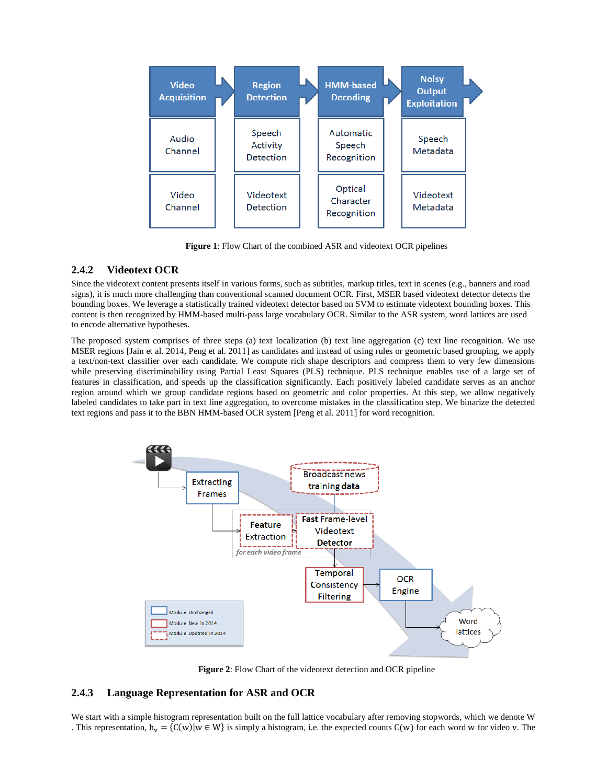

**Figure 1**: Flow Chart of the combined ASR and videotext OCR pipelines

## **2.4.2 Videotext OCR**

Since the videotext content presents itself in various forms, such as subtitles, markup titles, text in scenes (e.g., banners and road signs), it is much more challenging than conventional scanned document OCR. First, MSER based videotext detector detects the bounding boxes. We leverage a statistically trained videotext detector based on SVM to estimate videotext bounding boxes. This content is then recognized by HMM-based multi-pass large vocabulary OCR. Similar to the ASR system, word lattices are used to encode alternative hypotheses.

The proposed system comprises of three steps (a) text localization (b) text line aggregation (c) text line recognition. We use MSER regions [Jain et al. 2014, Peng et al. 2011] as candidates and instead of using rules or geometric based grouping, we apply a text/non-text classifier over each candidate. We compute rich shape descriptors and compress them to very few dimensions while preserving discriminability using Partial Least Squares (PLS) technique. PLS technique enables use of a large set of features in classification, and speeds up the classification significantly. Each positively labeled candidate serves as an anchor region around which we group candidate regions based on geometric and color properties. At this step, we allow negatively labeled candidates to take part in text line aggregation, to overcome mistakes in the classification step. We binarize the detected text regions and pass it to the BBN HMM-based OCR system [Peng et al. 2011] for word recognition.



**Figure 2**: Flow Chart of the videotext detection and OCR pipeline

#### **2.4.3 Language Representation for ASR and OCR**

We start with a simple histogram representation built on the full lattice vocabulary after removing stopwords, which we denote W . This representation,  $h_v = \{C(w)|w \in W\}$  is simply a histogram, i.e. the expected counts  $C(w)$  for each word w for video v. The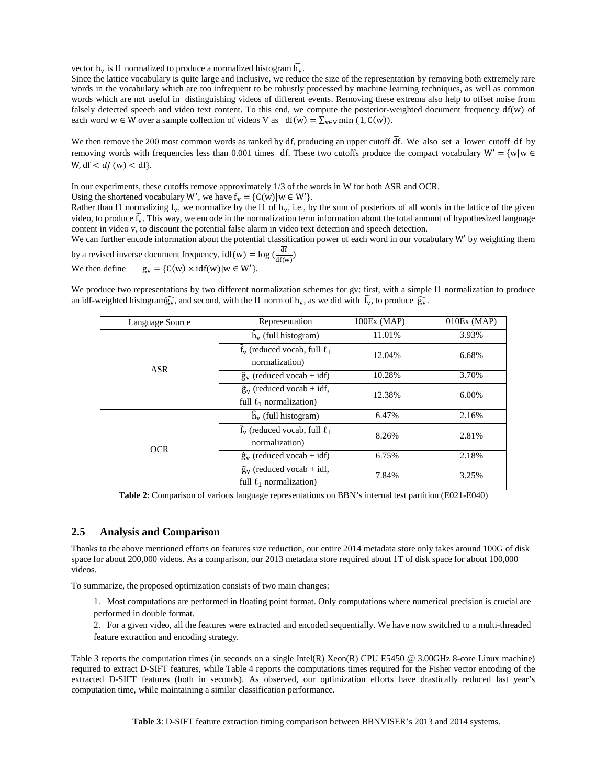vector  $h_v$  is 11 normalized to produce a normalized histogram  $\bar{h_v}$ .

Since the lattice vocabulary is quite large and inclusive, we reduce the size of the representation by removing both extremely rare words in the vocabulary which are too infrequent to be robustly processed by machine learning techniques, as well as common words which are not useful in distinguishing videos of different events. Removing these extrema also help to offset noise from falsely detected speech and video text content. To this end, we compute the posterior-weighted document frequency  $df(w)$  of each word w ∈ W over a sample collection of videos V as  $df(w) = \sum_{v \in V} min(1, C(w)).$ 

We then remove the 200 most common words as ranked by df, producing an upper cutoff  $\overline{df}$ . We also set a lower cutoff df by removing words with frequencies less than 0.001 times  $\overline{df}$ . These two cutoffs produce the compact vocabulary W' = {w|w  $\in$ W, df  $\langle df(w) \rangle \frac{df}{dt}$ .

In our experiments, these cutoffs remove approximately 1/3 of the words in W for both ASR and OCR.

Using the shortened vocabulary W', we have  $f_v = \{C(w) | w \in W'\}$ .

Rather than 11 normalizing  $f_v$ , we normalize by the l1 of  $h_v$ , i.e., by the sum of posteriors of all words in the lattice of the given video, to produce  $f_v$ . This way, we encode in the normalization term information about the total amount of hypothesized language content in video v, to discount the potential false alarm in video text detection and speech detection.

We can further encode information about the potential classification power of each word in our vocabulary W' by weighting them

by a revised inverse document frequency,  $\text{idf}(w) = \log \left( \frac{dt}{df(w)} \right)$ We then define  $g_v = \{C(w) \times \text{id}f(w) | w \in W'\}.$ 

We produce two representations by two different normalization schemes for gv: first, with a simple l1 normalization to produce an idf-weighted histogram $\widehat{g_v}$ , and second, with the l1 norm of  $h_v$ , as we did with  $f_v$ , to produce  $\widetilde{g_v}$ .

| Language Source | Representation                                                        | 100Ex (MAP) | $010Ex$ (MAP) |
|-----------------|-----------------------------------------------------------------------|-------------|---------------|
|                 | $h_{\rm v}$ (full histogram)                                          | 11.01%      | 3.93%         |
|                 | $\tilde{f}_{v}$ (reduced vocab, full $\ell_1$ )<br>normalization)     | 12.04%      | 6.68%         |
| <b>ASR</b>      | $\hat{g}_{v}$ (reduced vocab + idf)                                   | 10.28%      | 3.70%         |
|                 | $\tilde{g}_{v}$ (reduced vocab + idf,<br>full $\ell_1$ normalization) | 12.38%      | 6.00%         |
|                 | $h_{\rm v}$ (full histogram)                                          | 6.47%       | 2.16%         |
| <b>OCR</b>      | $\tilde{f}_{v}$ (reduced vocab, full $\ell_1$<br>normalization)       | 8.26%       | 2.81%         |
|                 | $\hat{\mathbf{g}}_{\mathbf{v}}$ (reduced vocab + idf)                 | 6.75%       | 2.18%         |
|                 | $\tilde{g}_{v}$ (reduced vocab + idf,<br>full $\ell_1$ normalization) | 7.84%       | 3.25%         |

**Table 2**: Comparison of various language representations on BBN's internal test partition (E021-E040)

#### **2.5 Analysis and Comparison**

Thanks to the above mentioned efforts on features size reduction, our entire 2014 metadata store only takes around 100G of disk space for about 200,000 videos. As a comparison, our 2013 metadata store required about 1T of disk space for about 100,000 videos.

To summarize, the proposed optimization consists of two main changes:

1. Most computations are performed in floating point format. Only computations where numerical precision is crucial are performed in double format.

2. For a given video, all the features were extracted and encoded sequentially. We have now switched to a multi-threaded feature extraction and encoding strategy.

Table 3 reports the computation times (in seconds on a single Intel(R) Xeon(R) CPU E5450 @ 3.00GHz 8-core Linux machine) required to extract D-SIFT features, while Table 4 reports the computations times required for the Fisher vector encoding of the extracted D-SIFT features (both in seconds). As observed, our optimization efforts have drastically reduced last year's computation time, while maintaining a similar classification performance.

**Table 3**: D-SIFT feature extraction timing comparison between BBNVISER's 2013 and 2014 systems.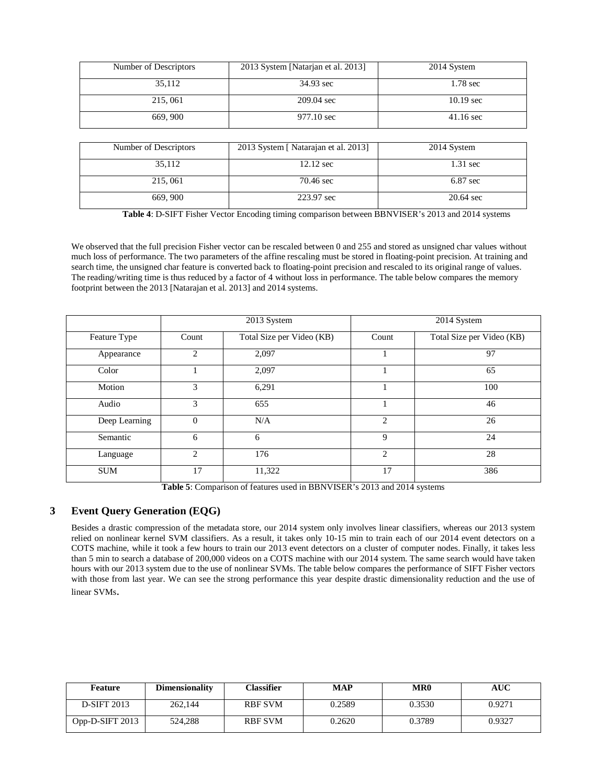| Number of Descriptors | 2013 System [Natarjan et al. 2013] | 2014 System         |
|-----------------------|------------------------------------|---------------------|
| 35,112                | 34.93 sec                          | 1.78 sec            |
| 215,061               | 209.04 sec                         | $10.19 \text{ sec}$ |
| 669, 900              | 977.10 sec                         | $41.16 \text{ sec}$ |

| Number of Descriptors | 2013 System [ Natarajan et al. 2013] | 2014 System        |
|-----------------------|--------------------------------------|--------------------|
|                       |                                      |                    |
|                       |                                      |                    |
| 35,112                | $12.12 \text{ sec}$                  | $1.31 \text{ sec}$ |
|                       |                                      |                    |
|                       |                                      |                    |
| 215,061               | 70.46 sec                            | $6.87$ sec         |
|                       |                                      |                    |
|                       |                                      |                    |
|                       |                                      |                    |
| 669, 900              | 223.97 sec                           | 20.64 sec          |
|                       |                                      |                    |

**Table 4**: D-SIFT Fisher Vector Encoding timing comparison between BBNVISER's 2013 and 2014 systems

We observed that the full precision Fisher vector can be rescaled between 0 and 255 and stored as unsigned char values without much loss of performance. The two parameters of the affine rescaling must be stored in floating-point precision. At training and search time, the unsigned char feature is converted back to floating-point precision and rescaled to its original range of values. The reading/writing time is thus reduced by a factor of 4 without loss in performance. The table below compares the memory footprint between the 2013 [Natarajan et al. 2013] and 2014 systems.

|               | 2013 System    |                           |                | 2014 System               |
|---------------|----------------|---------------------------|----------------|---------------------------|
| Feature Type  | Count          | Total Size per Video (KB) | Count          | Total Size per Video (KB) |
| Appearance    | $\overline{2}$ | 2,097                     |                | 97                        |
| Color         |                | 2,097                     |                | 65                        |
| Motion        | 3              | 6,291                     |                | 100                       |
| Audio         | 3              | 655                       |                | 46                        |
| Deep Learning | $\overline{0}$ | N/A                       | $\overline{c}$ | 26                        |
| Semantic      | 6              | 6                         | 9              | 24                        |
| Language      | 2              | 176                       | $\overline{c}$ | 28                        |
| <b>SUM</b>    | 17             | 11,322                    | 17             | 386                       |

**Table 5**: Comparison of features used in BBNVISER's 2013 and 2014 systems

## **3 Event Query Generation (EQG)**

Besides a drastic compression of the metadata store, our 2014 system only involves linear classifiers, whereas our 2013 system relied on nonlinear kernel SVM classifiers. As a result, it takes only 10-15 min to train each of our 2014 event detectors on a COTS machine, while it took a few hours to train our 2013 event detectors on a cluster of computer nodes. Finally, it takes less than 5 min to search a database of 200,000 videos on a COTS machine with our 2014 system. The same search would have taken hours with our 2013 system due to the use of nonlinear SVMs. The table below compares the performance of SIFT Fisher vectors with those from last year. We can see the strong performance this year despite drastic dimensionality reduction and the use of linear SVMs.

| Feature            | <b>Dimensionality</b> | Classifier     | <b>MAP</b> | MR <sub>0</sub> | AUC    |
|--------------------|-----------------------|----------------|------------|-----------------|--------|
| <b>D-SIFT 2013</b> | 262,144               | <b>RBF SVM</b> | 0.2589     | 0.3530          | 0.9271 |
| Opp-D-SIFT $2013$  | 524.288               | <b>RBF SVM</b> | 0.2620     | 0.3789          | 0.9327 |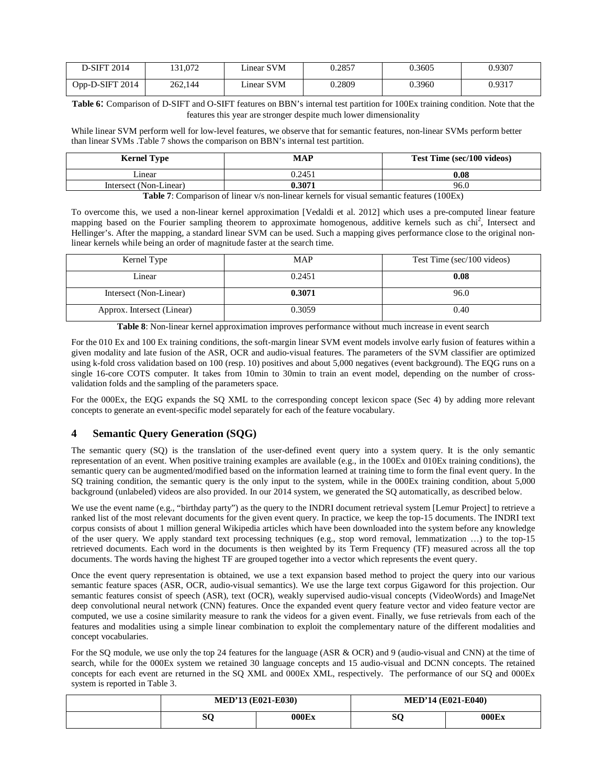| <b>D-SIFT 2014</b> | 131,072 | Linear SVM | 0.2857 | 0.3605 | 0.9307 |
|--------------------|---------|------------|--------|--------|--------|
| Opp-D-SIFT $2014$  | 262.144 | Linear SVM | 0.2809 | 0.3960 | 0.9317 |

**Table 6**: Comparison of D-SIFT and O-SIFT features on BBN's internal test partition for 100Ex training condition. Note that the features this year are stronger despite much lower dimensionality

While linear SVM perform well for low-level features, we observe that for semantic features, non-linear SVMs perform better than linear SVMs .Table 7 shows the comparison on BBN's internal test partition.

| <b>Kernel Type</b>     | <b>MAP</b> | Test Time (sec/100 videos) |
|------------------------|------------|----------------------------|
| ∟inear                 | 0.2451     | 0.08                       |
| Intersect (Non-Linear) | 0.3071     | 96.0                       |
| $\blacksquare$         | 0.11       | (100T)                     |

**Table 7**: Comparison of linear v/s non-linear kernels for visual semantic features (100Ex)

To overcome this, we used a non-linear kernel approximation [Vedaldi et al. 2012] which uses a pre-computed linear feature mapping based on the Fourier sampling theorem to approximate homogenous, additive kernels such as chi<sup>2</sup>, Intersect and Hellinger's. After the mapping, a standard linear SVM can be used. Such a mapping gives performance close to the original nonlinear kernels while being an order of magnitude faster at the search time.

| Kernel Type                | <b>MAP</b> | Test Time (sec/100 videos) |
|----------------------------|------------|----------------------------|
| Linear                     | 0.2451     | 0.08                       |
| Intersect (Non-Linear)     | 0.3071     | 96.0                       |
| Approx. Intersect (Linear) | 0.3059     | 0.40                       |

**Table 8**: Non-linear kernel approximation improves performance without much increase in event search

For the 010 Ex and 100 Ex training conditions, the soft-margin linear SVM event models involve early fusion of features within a given modality and late fusion of the ASR, OCR and audio-visual features. The parameters of the SVM classifier are optimized using k-fold cross validation based on 100 (resp. 10) positives and about 5,000 negatives (event background). The EQG runs on a single 16-core COTS computer. It takes from 10min to 30min to train an event model, depending on the number of crossvalidation folds and the sampling of the parameters space.

For the 000Ex, the EQG expands the SQ XML to the corresponding concept lexicon space (Sec 4) by adding more relevant concepts to generate an event-specific model separately for each of the feature vocabulary.

## **4 Semantic Query Generation (SQG)**

The semantic query (SQ) is the translation of the user-defined event query into a system query. It is the only semantic representation of an event. When positive training examples are available (e.g., in the 100Ex and 010Ex training conditions), the semantic query can be augmented/modified based on the information learned at training time to form the final event query. In the SQ training condition, the semantic query is the only input to the system, while in the 000Ex training condition, about 5,000 background (unlabeled) videos are also provided. In our 2014 system, we generated the SQ automatically, as described below.

We use the event name (e.g., "birthday party") as the query to the INDRI document retrieval system [Lemur Project] to retrieve a ranked list of the most relevant documents for the given event query. In practice, we keep the top-15 documents. The INDRI text corpus consists of about 1 million general Wikipedia articles which have been downloaded into the system before any knowledge of the user query. We apply standard text processing techniques (e.g., stop word removal, lemmatization …) to the top-15 retrieved documents. Each word in the documents is then weighted by its Term Frequency (TF) measured across all the top documents. The words having the highest TF are grouped together into a vector which represents the event query.

Once the event query representation is obtained, we use a text expansion based method to project the query into our various semantic feature spaces (ASR, OCR, audio-visual semantics). We use the large text corpus Gigaword for this projection. Our semantic features consist of speech (ASR), text (OCR), weakly supervised audio-visual concepts (VideoWords) and ImageNet deep convolutional neural network (CNN) features. Once the expanded event query feature vector and video feature vector are computed, we use a cosine similarity measure to rank the videos for a given event. Finally, we fuse retrievals from each of the features and modalities using a simple linear combination to exploit the complementary nature of the different modalities and concept vocabularies.

For the SQ module, we use only the top 24 features for the language (ASR & OCR) and 9 (audio-visual and CNN) at the time of search, while for the 000Ex system we retained 30 language concepts and 15 audio-visual and DCNN concepts. The retained concepts for each event are returned in the SQ XML and 000Ex XML, respectively. The performance of our SQ and 000Ex system is reported in Table 3.

| <b>MED'13 (E021-E030)</b> |       | <b>MED'14 (E021-E040)</b> |       |
|---------------------------|-------|---------------------------|-------|
| SC                        | 000Ex | o۴<br>ov.                 | 000Ex |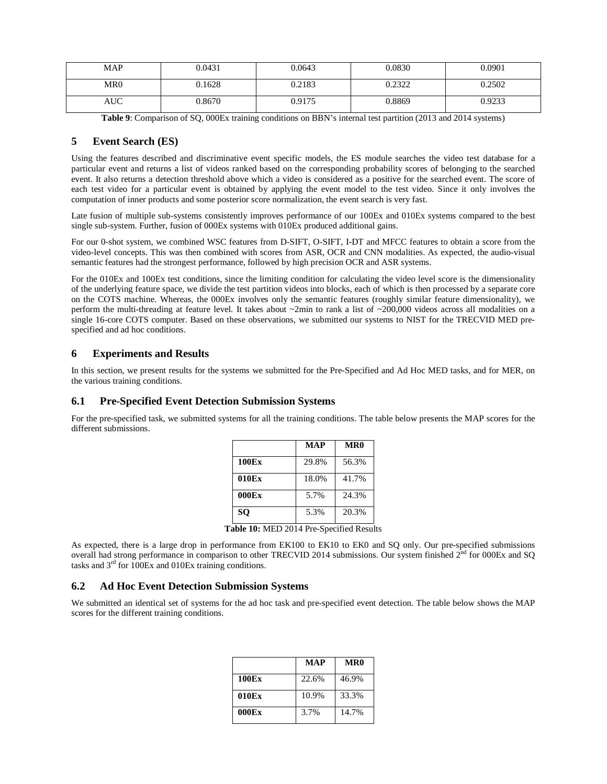| MAP        | 0.0431 | 0.0643 | 0.0830 | 0.0901 |
|------------|--------|--------|--------|--------|
| MR0        | 0.1628 | 0.2183 | 0.2322 | 0.2502 |
| <b>AUC</b> | 0.8670 | 0.9175 | 0.8869 | 0.9233 |

Table 9: Comparison of SQ, 000Ex training conditions on BBN's internal test partition (2013 and 2014 systems)

## **5 Event Search (ES)**

Using the features described and discriminative event specific models, the ES module searches the video test database for a particular event and returns a list of videos ranked based on the corresponding probability scores of belonging to the searched event. It also returns a detection threshold above which a video is considered as a positive for the searched event. The score of each test video for a particular event is obtained by applying the event model to the test video. Since it only involves the computation of inner products and some posterior score normalization, the event search is very fast.

Late fusion of multiple sub-systems consistently improves performance of our 100Ex and 010Ex systems compared to the best single sub-system. Further, fusion of 000Ex systems with 010Ex produced additional gains.

For our 0-shot system, we combined WSC features from D-SIFT, O-SIFT, I-DT and MFCC features to obtain a score from the video-level concepts. This was then combined with scores from ASR, OCR and CNN modalities. As expected, the audio-visual semantic features had the strongest performance, followed by high precision OCR and ASR systems.

For the 010Ex and 100Ex test conditions, since the limiting condition for calculating the video level score is the dimensionality of the underlying feature space, we divide the test partition videos into blocks, each of which is then processed by a separate core on the COTS machine. Whereas, the 000Ex involves only the semantic features (roughly similar feature dimensionality), we perform the multi-threading at feature level. It takes about ~2min to rank a list of ~200,000 videos across all modalities on a single 16-core COTS computer. Based on these observations, we submitted our systems to NIST for the TRECVID MED prespecified and ad hoc conditions.

#### **6 Experiments and Results**

In this section, we present results for the systems we submitted for the Pre-Specified and Ad Hoc MED tasks, and for MER, on the various training conditions.

#### **6.1 Pre-Specified Event Detection Submission Systems**

For the pre-specified task, we submitted systems for all the training conditions. The table below presents the MAP scores for the different submissions.

|              | <b>MAP</b> | MR <sub>0</sub> |
|--------------|------------|-----------------|
| <b>100Ex</b> | 29.8%      | 56.3%           |
| 010Ex        | 18.0%      | 41.7%           |
| 000Ex        | 5.7%       | 24.3%           |
| <b>SO</b>    | 5.3%       | 20.3%           |

**Table 10:** MED 2014 Pre-Specified Results

As expected, there is a large drop in performance from EK100 to EK10 to EK0 and SQ only. Our pre-specified submissions overall had strong performance in comparison to other TRECVID 2014 submissions. Our system finished  $2<sup>nd</sup>$  for 000Ex and SQ tasks and 3rd for 100Ex and 010Ex training conditions.

#### **6.2 Ad Hoc Event Detection Submission Systems**

We submitted an identical set of systems for the ad hoc task and pre-specified event detection. The table below shows the MAP scores for the different training conditions.

|       | <b>MAP</b> | MR <sub>0</sub> |
|-------|------------|-----------------|
| 100Ex | 22.6%      | 46.9%           |
| 010Ex | 10.9%      | 33.3%           |
| 000Ex | 3.7%       | 14.7%           |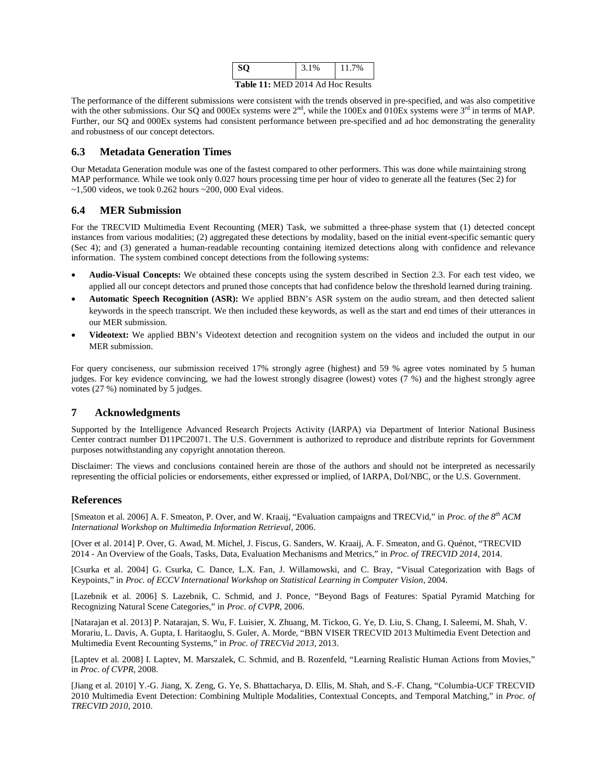| 80.                               | 3.1% | 11.7% |  |
|-----------------------------------|------|-------|--|
| Table 11: MED 2014 Ad Hoc Results |      |       |  |

The performance of the different submissions were consistent with the trends observed in pre-specified, and was also competitive with the other submissions. Our SQ and 000Ex systems were  $2<sup>nd</sup>$ , while the 100Ex and 010Ex systems were  $3<sup>rd</sup>$  in terms of MAP. Further, our SQ and 000Ex systems had consistent performance between pre-specified and ad hoc demonstrating the generality and robustness of our concept detectors.

## **6.3 Metadata Generation Times**

Our Metadata Generation module was one of the fastest compared to other performers. This was done while maintaining strong MAP performance. While we took only 0.027 hours processing time per hour of video to generate all the features (Sec 2) for  $\sim$ 1,500 videos, we took 0.262 hours  $\sim$ 200,000 Eval videos.

## **6.4 MER Submission**

For the TRECVID Multimedia Event Recounting (MER) Task, we submitted a three-phase system that (1) detected concept instances from various modalities; (2) aggregated these detections by modality, based on the initial event-specific semantic query (Sec 4); and (3) generated a human-readable recounting containing itemized detections along with confidence and relevance information. The system combined concept detections from the following systems:

- **Audio-Visual Concepts:** We obtained these concepts using the system described in Section 2.3. For each test video, we applied all our concept detectors and pruned those concepts that had confidence below the threshold learned during training.
- **Automatic Speech Recognition (ASR):** We applied BBN's ASR system on the audio stream, and then detected salient keywords in the speech transcript. We then included these keywords, as well as the start and end times of their utterances in our MER submission.
- **Videotext:** We applied BBN's Videotext detection and recognition system on the videos and included the output in our MER submission.

For query conciseness, our submission received 17% strongly agree (highest) and 59 % agree votes nominated by 5 human judges. For key evidence convincing, we had the lowest strongly disagree (lowest) votes (7 %) and the highest strongly agree votes (27 %) nominated by 5 judges.

## **7 Acknowledgments**

Supported by the Intelligence Advanced Research Projects Activity (IARPA) via Department of Interior National Business Center contract number D11PC20071. The U.S. Government is authorized to reproduce and distribute reprints for Government purposes notwithstanding any copyright annotation thereon.

Disclaimer: The views and conclusions contained herein are those of the authors and should not be interpreted as necessarily representing the official policies or endorsements, either expressed or implied, of IARPA, DoI/NBC, or the U.S. Government.

#### **References**

[Smeaton et al. 2006] A. F. Smeaton, P. Over, and W. Kraaij, "Evaluation campaigns and TRECVid," in *Proc. of the 8th ACM International Workshop on Multimedia Information Retrieval*, 2006.

[Over et al. 2014] P. Over, G. Awad, M. Michel, J. Fiscus, G. Sanders, W. Kraaij, A. F. Smeaton, and G. Quénot, "TRECVID 2014 - An Overview of the Goals, Tasks, Data, Evaluation Mechanisms and Metrics," in *Proc. of TRECVID 2014*, 2014.

[Csurka et al. 2004] G. Csurka, C. Dance, L.X. Fan, J. Willamowski, and C. Bray, "Visual Categorization with Bags of Keypoints," in *Proc. of ECCV International Workshop on Statistical Learning in Computer Vision*, 2004.

[Lazebnik et al. 2006] S. Lazebnik, C. Schmid, and J. Ponce, "Beyond Bags of Features: Spatial Pyramid Matching for Recognizing Natural Scene Categories," in *Proc. of CVPR*, 2006.

[Natarajan et al. 2013] P. Natarajan, S. Wu, F. Luisier, X. Zhuang, M. Tickoo, G. Ye, D. Liu, S. Chang, I. Saleemi, M. Shah, V. Morariu, L. Davis, A. Gupta, I. Haritaoglu, S. Guler, A. Morde, "BBN VISER TRECVID 2013 Multimedia Event Detection and Multimedia Event Recounting Systems," in *Proc. of TRECVid 2013*, 2013.

[Laptev et al. 2008] I. Laptev, M. Marszalek, C. Schmid, and B. Rozenfeld, "Learning Realistic Human Actions from Movies," in *Proc. of CVPR*, 2008.

[Jiang et al. 2010] Y.-G. Jiang, X. Zeng, G. Ye, S. Bhattacharya, D. Ellis, M. Shah, and S.-F. Chang, "Columbia-UCF TRECVID 2010 Multimedia Event Detection: Combining Multiple Modalities, Contextual Concepts, and Temporal Matching," in *Proc. of TRECVID 2010*, 2010.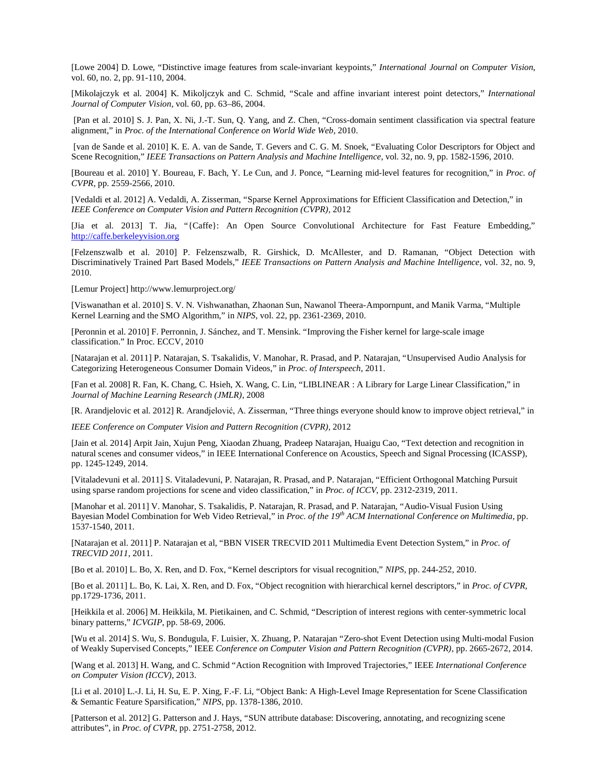[Lowe 2004] D. Lowe, "Distinctive image features from scale-invariant keypoints," *International Journal on Computer Vision*, vol. 60, no. 2, pp. 91-110, 2004.

[Mikolajczyk et al. 2004] K. Mikoljczyk and C. Schmid, "Scale and affine invariant interest point detectors," *International Journal of Computer Vision*, vol. 60, pp. 63–86, 2004.

[Pan et al. 2010] S. J. Pan, X. Ni, J.-T. Sun, Q. Yang, and Z. Chen, "Cross-domain sentiment classification via spectral feature alignment," in *Proc. of the International Conference on World Wide Web*, 2010.

[van de Sande et al. 2010] K. E. A. van de Sande, T. Gevers and C. G. M. Snoek, "Evaluating Color Descriptors for Object and Scene Recognition," *IEEE Transactions on Pattern Analysis and Machine Intelligence*, vol. 32, no. 9, pp. 1582-1596, 2010.

[Boureau et al. 2010] Y. Boureau, F. Bach, Y. Le Cun, and J. Ponce, "Learning mid-level features for recognition," in *Proc. of CVPR*, pp. 2559-2566, 2010.

[Vedaldi et al. 2012] A. Vedaldi, A. Zisserman, "Sparse Kernel Approximations for Efficient Classification and Detection," in *IEEE Conference on Computer Vision and Pattern Recognition (CVPR),* 2012

[Jia et al. 2013] T. Jia, "{Caffe}: An Open Source Convolutional Architecture for Fast Feature Embedding," [http://caffe.berkeleyvision.org](http://caffe.berkeleyvision.org/)

[Felzenszwalb et al. 2010] P. Felzenszwalb, R. Girshick, D. McAllester, and D. Ramanan, "Object Detection with Discriminatively Trained Part Based Models," *IEEE Transactions on Pattern Analysis and Machine Intelligence*, vol. 32, no. 9, 2010.

[Lemur Project] http://www.lemurproject.org/

[Viswanathan et al. 2010] S. V. N. Vishwanathan, Zhaonan Sun, Nawanol Theera-Ampornpunt, and Manik Varma, "Multiple Kernel Learning and the SMO Algorithm," in *NIPS*, vol. 22, pp. 2361-2369, 2010.

[Peronnin et al. 2010] F. Perronnin, J. Sánchez, and T. Mensink. "Improving the Fisher kernel for large-scale image classification." In Proc. ECCV, 2010

[Natarajan et al. 2011] P. Natarajan, S. Tsakalidis, V. Manohar, R. Prasad, and P. Natarajan, "Unsupervised Audio Analysis for Categorizing Heterogeneous Consumer Domain Videos," in *Proc. of Interspeech*, 2011.

[Fan et al. 2008] R. Fan, K. Chang, C. Hsieh, X. Wang, C. Lin, "LIBLINEAR : A Library for Large Linear Classification," in *Journal of Machine Learning Research (JMLR)*, 2008

[R. Arandjelovic et al. 2012] R. Arandjelović, A. Zisserman, "Three things everyone should know to improve object retrieval," in

*IEEE Conference on Computer Vision and Pattern Recognition (CVPR),* 2012

[Jain et al. 2014] Arpit Jain, Xujun Peng, Xiaodan Zhuang, Pradeep Natarajan, Huaigu Cao, ["Text detection and recognition in](http://ieeexplore.ieee.org/xpls/abs_all.jsp?arnumber=6853796)  [natural scenes and consumer videos,"](http://ieeexplore.ieee.org/xpls/abs_all.jsp?arnumber=6853796) in IEEE International Conference on Acoustics, Speech and Signal Processing (ICASSP), pp. 1245-1249, 2014.

[Vitaladevuni et al. 2011] S. Vitaladevuni, P. Natarajan, R. Prasad, and P. Natarajan, "Efficient Orthogonal Matching Pursuit using sparse random projections for scene and video classification," in *Proc. of ICCV*, pp. 2312-2319, 2011.

[Manohar et al. 2011] V. Manohar, S. Tsakalidis, P. Natarajan, R. Prasad, and P. Natarajan, "Audio-Visual Fusion Using Bayesian Model Combination for Web Video Retrieval," in *Proc. of the 19th ACM International Conference on Multimedia*, pp. 1537-1540, 2011.

[Natarajan et al. 2011] P. Natarajan et al, "BBN VISER TRECVID 2011 Multimedia Event Detection System," in *Proc. of TRECVID 2011*, 2011.

[Bo et al. 2010] L. Bo, X. Ren, and D. Fox, "Kernel descriptors for visual recognition," *NIPS*, pp. 244-252, 2010.

[Bo et al. 2011] L. Bo, K. Lai, X. Ren, and D. Fox, "Object recognition with hierarchical kernel descriptors," in *Proc. of CVPR*, pp.1729-1736, 2011.

[Heikkila et al. 2006] M. Heikkila, M. Pietikainen, and C. Schmid, "Description of interest regions with center-symmetric local binary patterns," *ICVGIP*, pp. 58-69, 2006.

[Wu et al. 2014] S. Wu, S. Bondugula, F. Luisier, X. Zhuang, P. Natarajan "Zero-shot Event Detection using Multi-modal Fusion of Weakly Supervised Concepts," IEEE *Conference on Computer Vision and Pattern Recognition (CVPR)*, pp. 2665-2672, 2014.

[Wang et al. 2013] H. Wang, and C. Schmid "Action Recognition with Improved Trajectories," IEEE *International Conference on Computer Vision (ICCV)*, 2013.

[Li et al. 2010] L.-J. Li, H. Su, E. P. Xing, F.-F. Li, "Object Bank: A High-Level Image Representation for Scene Classification & Semantic Feature Sparsification," *NIPS*, pp. 1378-1386, 2010.

[Patterson et al. 2012] G. Patterson and J. Hays, "SUN attribute database: Discovering, annotating, and recognizing scene attributes", in *Proc. of CVPR*, pp. 2751-2758, 2012.